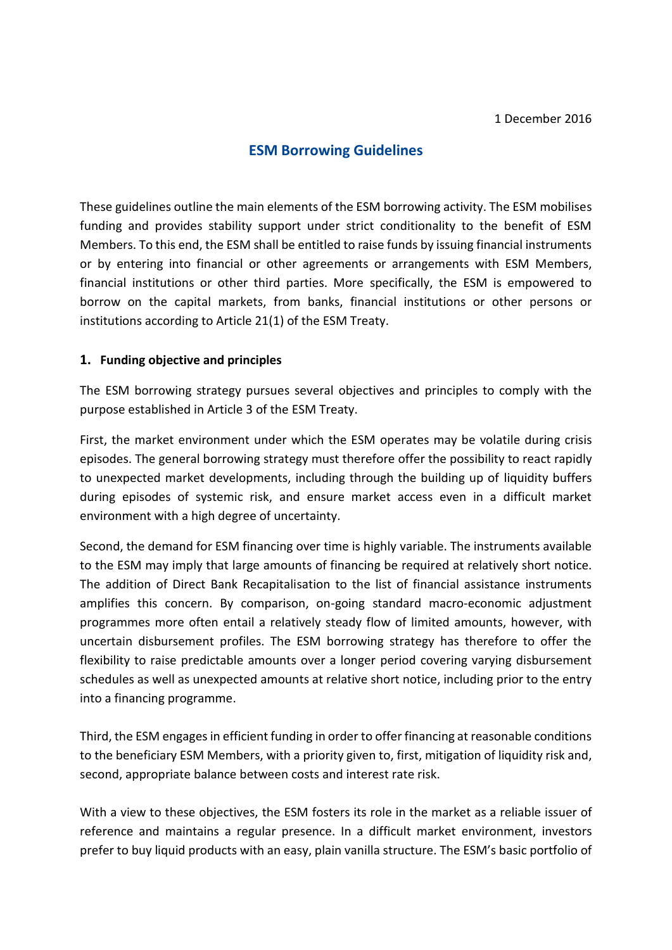# **ESM Borrowing Guidelines**

These guidelines outline the main elements of the ESM borrowing activity. The ESM mobilises funding and provides stability support under strict conditionality to the benefit of ESM Members. To this end, the ESM shall be entitled to raise funds by issuing financial instruments or by entering into financial or other agreements or arrangements with ESM Members, financial institutions or other third parties. More specifically, the ESM is empowered to borrow on the capital markets, from banks, financial institutions or other persons or institutions according to Article 21(1) of the ESM Treaty.

#### **1. Funding objective and principles**

The ESM borrowing strategy pursues several objectives and principles to comply with the purpose established in Article 3 of the ESM Treaty.

First, the market environment under which the ESM operates may be volatile during crisis episodes. The general borrowing strategy must therefore offer the possibility to react rapidly to unexpected market developments, including through the building up of liquidity buffers during episodes of systemic risk, and ensure market access even in a difficult market environment with a high degree of uncertainty.

Second, the demand for ESM financing over time is highly variable. The instruments available to the ESM may imply that large amounts of financing be required at relatively short notice. The addition of Direct Bank Recapitalisation to the list of financial assistance instruments amplifies this concern. By comparison, on-going standard macro-economic adjustment programmes more often entail a relatively steady flow of limited amounts, however, with uncertain disbursement profiles. The ESM borrowing strategy has therefore to offer the flexibility to raise predictable amounts over a longer period covering varying disbursement schedules as well as unexpected amounts at relative short notice, including prior to the entry into a financing programme.

Third, the ESM engages in efficient funding in order to offer financing at reasonable conditions to the beneficiary ESM Members, with a priority given to, first, mitigation of liquidity risk and, second, appropriate balance between costs and interest rate risk.

With a view to these objectives, the ESM fosters its role in the market as a reliable issuer of reference and maintains a regular presence. In a difficult market environment, investors prefer to buy liquid products with an easy, plain vanilla structure. The ESM's basic portfolio of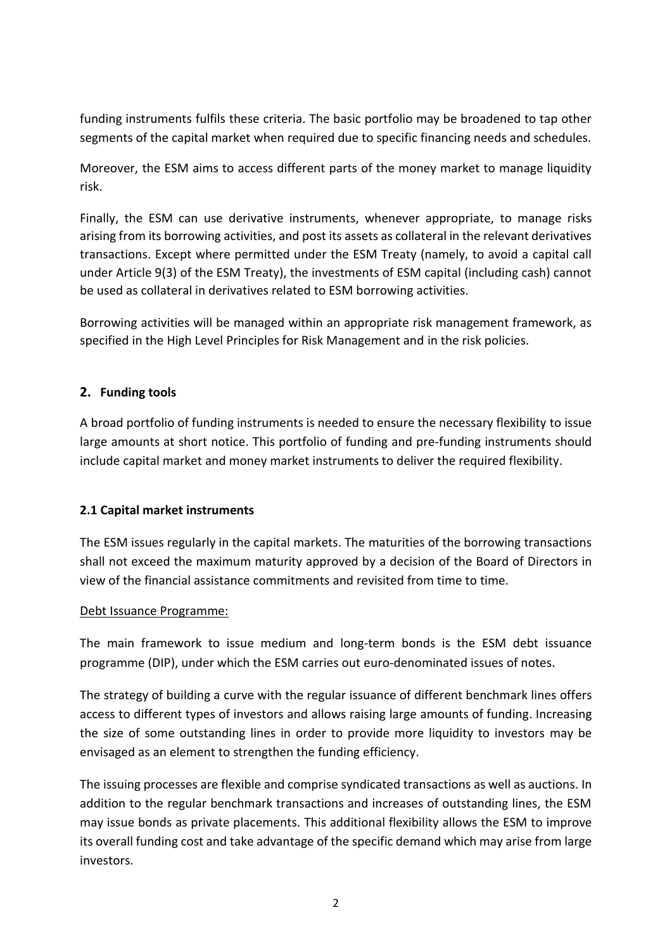funding instruments fulfils these criteria. The basic portfolio may be broadened to tap other segments of the capital market when required due to specific financing needs and schedules.

Moreover, the ESM aims to access different parts of the money market to manage liquidity risk.

Finally, the ESM can use derivative instruments, whenever appropriate, to manage risks arising from its borrowing activities, and post its assets as collateral in the relevant derivatives transactions. Except where permitted under the ESM Treaty (namely, to avoid a capital call under Article 9(3) of the ESM Treaty), the investments of ESM capital (including cash) cannot be used as collateral in derivatives related to ESM borrowing activities.

Borrowing activities will be managed within an appropriate risk management framework, as specified in the High Level Principles for Risk Management and in the risk policies.

## **2. Funding tools**

A broad portfolio of funding instruments is needed to ensure the necessary flexibility to issue large amounts at short notice. This portfolio of funding and pre-funding instruments should include capital market and money market instruments to deliver the required flexibility.

### **2.1 Capital market instruments**

The ESM issues regularly in the capital markets. The maturities of the borrowing transactions shall not exceed the maximum maturity approved by a decision of the Board of Directors in view of the financial assistance commitments and revisited from time to time.

### Debt Issuance Programme:

The main framework to issue medium and long-term bonds is the ESM debt issuance programme (DIP), under which the ESM carries out euro-denominated issues of notes.

The strategy of building a curve with the regular issuance of different benchmark lines offers access to different types of investors and allows raising large amounts of funding. Increasing the size of some outstanding lines in order to provide more liquidity to investors may be envisaged as an element to strengthen the funding efficiency.

The issuing processes are flexible and comprise syndicated transactions as well as auctions. In addition to the regular benchmark transactions and increases of outstanding lines, the ESM may issue bonds as private placements. This additional flexibility allows the ESM to improve its overall funding cost and take advantage of the specific demand which may arise from large investors.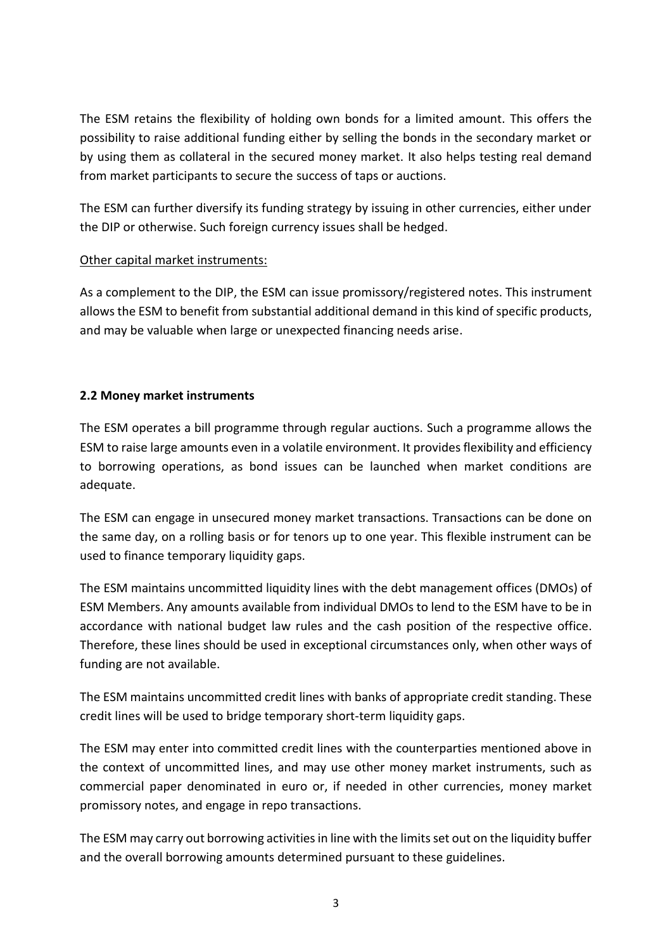The ESM retains the flexibility of holding own bonds for a limited amount. This offers the possibility to raise additional funding either by selling the bonds in the secondary market or by using them as collateral in the secured money market. It also helps testing real demand from market participants to secure the success of taps or auctions.

The ESM can further diversify its funding strategy by issuing in other currencies, either under the DIP or otherwise. Such foreign currency issues shall be hedged.

### Other capital market instruments:

As a complement to the DIP, the ESM can issue promissory/registered notes. This instrument allows the ESM to benefit from substantial additional demand in this kind of specific products, and may be valuable when large or unexpected financing needs arise.

## **2.2 Money market instruments**

The ESM operates a bill programme through regular auctions. Such a programme allows the ESM to raise large amounts even in a volatile environment. It provides flexibility and efficiency to borrowing operations, as bond issues can be launched when market conditions are adequate.

The ESM can engage in unsecured money market transactions. Transactions can be done on the same day, on a rolling basis or for tenors up to one year. This flexible instrument can be used to finance temporary liquidity gaps.

The ESM maintains uncommitted liquidity lines with the debt management offices (DMOs) of ESM Members. Any amounts available from individual DMOs to lend to the ESM have to be in accordance with national budget law rules and the cash position of the respective office. Therefore, these lines should be used in exceptional circumstances only, when other ways of funding are not available.

The ESM maintains uncommitted credit lines with banks of appropriate credit standing. These credit lines will be used to bridge temporary short-term liquidity gaps.

The ESM may enter into committed credit lines with the counterparties mentioned above in the context of uncommitted lines, and may use other money market instruments, such as commercial paper denominated in euro or, if needed in other currencies, money market promissory notes, and engage in repo transactions.

The ESM may carry out borrowing activities in line with the limits set out on the liquidity buffer and the overall borrowing amounts determined pursuant to these guidelines.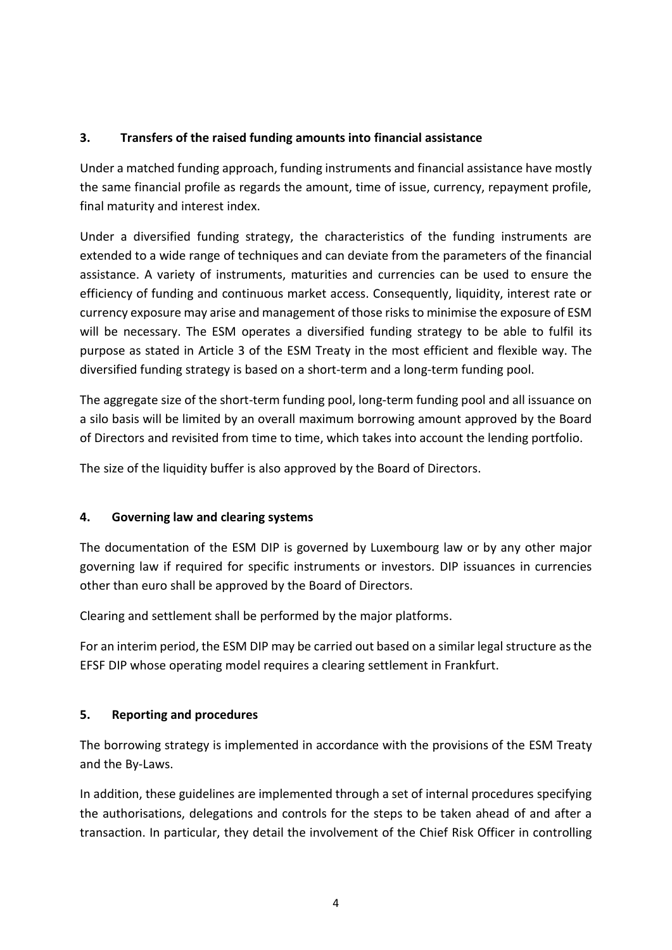## **3. Transfers of the raised funding amounts into financial assistance**

Under a matched funding approach, funding instruments and financial assistance have mostly the same financial profile as regards the amount, time of issue, currency, repayment profile, final maturity and interest index.

Under a diversified funding strategy, the characteristics of the funding instruments are extended to a wide range of techniques and can deviate from the parameters of the financial assistance. A variety of instruments, maturities and currencies can be used to ensure the efficiency of funding and continuous market access. Consequently, liquidity, interest rate or currency exposure may arise and management of those risks to minimise the exposure of ESM will be necessary. The ESM operates a diversified funding strategy to be able to fulfil its purpose as stated in Article 3 of the ESM Treaty in the most efficient and flexible way. The diversified funding strategy is based on a short-term and a long-term funding pool.

The aggregate size of the short-term funding pool, long-term funding pool and all issuance on a silo basis will be limited by an overall maximum borrowing amount approved by the Board of Directors and revisited from time to time, which takes into account the lending portfolio.

The size of the liquidity buffer is also approved by the Board of Directors.

### **4. Governing law and clearing systems**

The documentation of the ESM DIP is governed by Luxembourg law or by any other major governing law if required for specific instruments or investors. DIP issuances in currencies other than euro shall be approved by the Board of Directors.

Clearing and settlement shall be performed by the major platforms.

For an interim period, the ESM DIP may be carried out based on a similar legal structure as the EFSF DIP whose operating model requires a clearing settlement in Frankfurt.

### **5. Reporting and procedures**

The borrowing strategy is implemented in accordance with the provisions of the ESM Treaty and the By-Laws.

In addition, these guidelines are implemented through a set of internal procedures specifying the authorisations, delegations and controls for the steps to be taken ahead of and after a transaction. In particular, they detail the involvement of the Chief Risk Officer in controlling